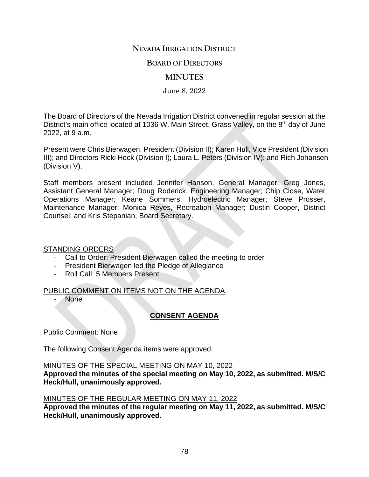# **NEVADA IRRIGATION DISTRICT**

## **BOARD OF DIRECTORS**

# **MINUTES**

June 8, 2022

The Board of Directors of the Nevada Irrigation District convened in regular session at the District's main office located at 1036 W. Main Street, Grass Valley, on the 8<sup>th</sup> day of June 2022, at 9 a.m.

Present were Chris Bierwagen, President (Division II); Karen Hull, Vice President (Division III); and Directors Ricki Heck (Division I); Laura L. Peters (Division IV); and Rich Johansen (Division V).

Staff members present included Jennifer Hanson, General Manager; Greg Jones, Assistant General Manager; Doug Roderick, Engineering Manager; Chip Close, Water Operations Manager; Keane Sommers, Hydroelectric Manager; Steve Prosser, Maintenance Manager; Monica Reyes, Recreation Manager; Dustin Cooper, District Counsel; and Kris Stepanian, Board Secretary.

#### STANDING ORDERS

- Call to Order: President Bierwagen called the meeting to order
- President Bierwagen led the Pledge of Allegiance
- Roll Call: 5 Members Present

### PUBLIC COMMENT ON ITEMS NOT ON THE AGENDA

**None** 

# **CONSENT AGENDA**

Public Comment: None

The following Consent Agenda items were approved:

#### MINUTES OF THE SPECIAL MEETING ON MAY 10, 2022

**Approved the minutes of the special meeting on May 10, 2022, as submitted. M/S/C Heck/Hull, unanimously approved.**

### MINUTES OF THE REGULAR MEETING ON MAY 11, 2022

**Approved the minutes of the regular meeting on May 11, 2022, as submitted. M/S/C Heck/Hull, unanimously approved.**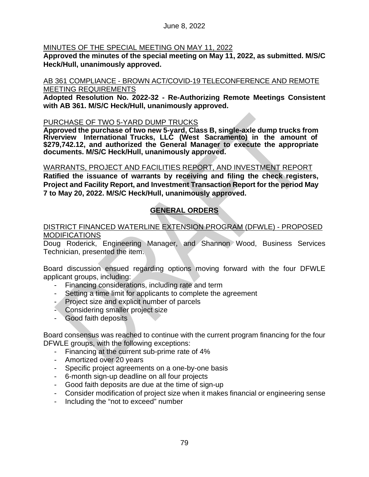## MINUTES OF THE SPECIAL MEETING ON MAY 11, 2022

**Approved the minutes of the special meeting on May 11, 2022, as submitted. M/S/C Heck/Hull, unanimously approved.**

#### AB 361 COMPLIANCE - BROWN ACT/COVID-19 TELECONFERENCE AND REMOTE MEETING REQUIREMENTS

**Adopted Resolution No. 2022-32 - Re-Authorizing Remote Meetings Consistent with AB 361. M/S/C Heck/Hull, unanimously approved.**

### PURCHASE OF TWO 5-YARD DUMP TRUCKS

**Approved the purchase of two new 5-yard, Class B, single-axle dump trucks from Riverview International Trucks, LLC (West Sacramento) in the amount of \$279,742.12, and authorized the General Manager to execute the appropriate documents. M/S/C Heck/Hull, unanimously approved.**

#### WARRANTS, PROJECT AND FACILITIES REPORT, AND INVESTMENT REPORT

**Ratified the issuance of warrants by receiving and filing the check registers, Project and Facility Report, and Investment Transaction Report for the period May 7 to May 20, 2022. M/S/C Heck/Hull, unanimously approved.**

# **GENERAL ORDERS**

### DISTRICT FINANCED WATERLINE EXTENSION PROGRAM (DFWLE) - PROPOSED **MODIFICATIONS**

Doug Roderick, Engineering Manager, and Shannon Wood, Business Services Technician, presented the item.

Board discussion ensued regarding options moving forward with the four DFWLE applicant groups, including:

- Financing considerations, including rate and term
- Setting a time limit for applicants to complete the agreement
- Project size and explicit number of parcels
- Considering smaller project size
- Good faith deposits

Board consensus was reached to continue with the current program financing for the four DFWLE groups, with the following exceptions:

- Financing at the current sub-prime rate of 4%
- Amortized over 20 years
- Specific project agreements on a one-by-one basis
- 6-month sign-up deadline on all four projects
- Good faith deposits are due at the time of sign-up
- Consider modification of project size when it makes financial or engineering sense
- Including the "not to exceed" number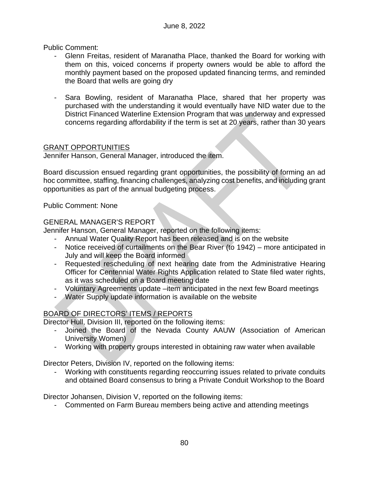Public Comment:

- Glenn Freitas, resident of Maranatha Place, thanked the Board for working with them on this, voiced concerns if property owners would be able to afford the monthly payment based on the proposed updated financing terms, and reminded the Board that wells are going dry
- Sara Bowling, resident of Maranatha Place, shared that her property was purchased with the understanding it would eventually have NID water due to the District Financed Waterline Extension Program that was underway and expressed concerns regarding affordability if the term is set at 20 years, rather than 30 years

# GRANT OPPORTUNITIES

Jennifer Hanson, General Manager, introduced the item.

Board discussion ensued regarding grant opportunities, the possibility of forming an ad hoc committee, staffing, financing challenges, analyzing cost benefits, and including grant opportunities as part of the annual budgeting process.

Public Comment: None

# GENERAL MANAGER'S REPORT

Jennifer Hanson, General Manager, reported on the following items:

- Annual Water Quality Report has been released and is on the website
- Notice received of curtailments on the Bear River (to 1942) more anticipated in July and will keep the Board informed
- Requested rescheduling of next hearing date from the Administrative Hearing Officer for Centennial Water Rights Application related to State filed water rights, as it was scheduled on a Board meeting date
- Voluntary Agreements update –item anticipated in the next few Board meetings
- Water Supply update information is available on the website

# BOARD OF DIRECTORS' ITEMS / REPORTS

Director Hull, Division III, reported on the following items:

- Joined the Board of the Nevada County AAUW (Association of American University Women)
- Working with property groups interested in obtaining raw water when available

Director Peters, Division IV, reported on the following items:

- Working with constituents regarding reoccurring issues related to private conduits and obtained Board consensus to bring a Private Conduit Workshop to the Board

Director Johansen, Division V, reported on the following items:

- Commented on Farm Bureau members being active and attending meetings